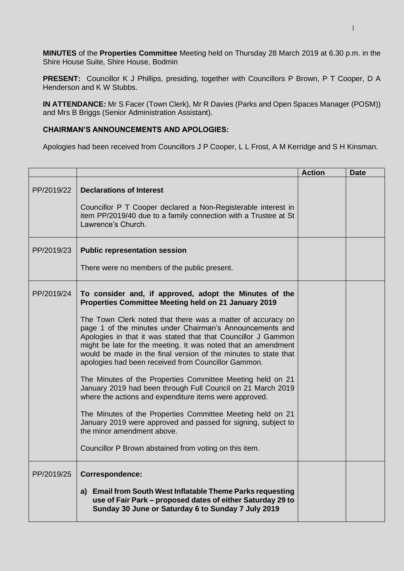**MINUTES** of the **Properties Committee** Meeting held on Thursday 28 March 2019 at 6.30 p.m. in the Shire House Suite, Shire House, Bodmin

**PRESENT:** Councillor K J Phillips, presiding, together with Councillors P Brown, P T Cooper, D A Henderson and K W Stubbs.

**IN ATTENDANCE:** Mr S Facer (Town Clerk), Mr R Davies (Parks and Open Spaces Manager (POSM)) and Mrs B Briggs (Senior Administration Assistant).

## **CHAIRMAN'S ANNOUNCEMENTS AND APOLOGIES:**

Apologies had been received from Councillors J P Cooper, L L Frost, A M Kerridge and S H Kinsman.

|            |                                                                                                                                                                                                                                                                                                                                                                                                                                                                                                                                                                                                                                                                                                                                                                                                                                                                                                                     | <b>Action</b> | <b>Date</b> |
|------------|---------------------------------------------------------------------------------------------------------------------------------------------------------------------------------------------------------------------------------------------------------------------------------------------------------------------------------------------------------------------------------------------------------------------------------------------------------------------------------------------------------------------------------------------------------------------------------------------------------------------------------------------------------------------------------------------------------------------------------------------------------------------------------------------------------------------------------------------------------------------------------------------------------------------|---------------|-------------|
| PP/2019/22 | <b>Declarations of Interest</b><br>Councillor P T Cooper declared a Non-Registerable interest in<br>item PP/2019/40 due to a family connection with a Trustee at St<br>Lawrence's Church.                                                                                                                                                                                                                                                                                                                                                                                                                                                                                                                                                                                                                                                                                                                           |               |             |
| PP/2019/23 | <b>Public representation session</b><br>There were no members of the public present.                                                                                                                                                                                                                                                                                                                                                                                                                                                                                                                                                                                                                                                                                                                                                                                                                                |               |             |
| PP/2019/24 | To consider and, if approved, adopt the Minutes of the<br>Properties Committee Meeting held on 21 January 2019<br>The Town Clerk noted that there was a matter of accuracy on<br>page 1 of the minutes under Chairman's Announcements and<br>Apologies in that it was stated that that Councillor J Gammon<br>might be late for the meeting. It was noted that an amendment<br>would be made in the final version of the minutes to state that<br>apologies had been received from Councillor Gammon.<br>The Minutes of the Properties Committee Meeting held on 21<br>January 2019 had been through Full Council on 21 March 2019<br>where the actions and expenditure items were approved.<br>The Minutes of the Properties Committee Meeting held on 21<br>January 2019 were approved and passed for signing, subject to<br>the minor amendment above.<br>Councillor P Brown abstained from voting on this item. |               |             |
| PP/2019/25 | Correspondence:<br>a) Email from South West Inflatable Theme Parks requesting<br>use of Fair Park - proposed dates of either Saturday 29 to<br>Sunday 30 June or Saturday 6 to Sunday 7 July 2019                                                                                                                                                                                                                                                                                                                                                                                                                                                                                                                                                                                                                                                                                                                   |               |             |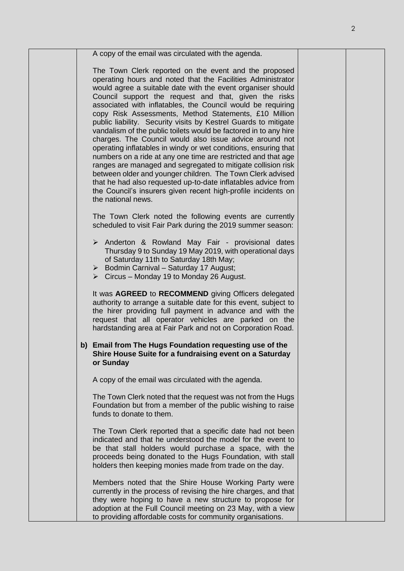| A copy of the email was circulated with the agenda.                                                                                                                                                                                                                                                                                                                                                                                                                                                                                                                                                                                                                                                                                                                                                                                                                                                                                                                                              |
|--------------------------------------------------------------------------------------------------------------------------------------------------------------------------------------------------------------------------------------------------------------------------------------------------------------------------------------------------------------------------------------------------------------------------------------------------------------------------------------------------------------------------------------------------------------------------------------------------------------------------------------------------------------------------------------------------------------------------------------------------------------------------------------------------------------------------------------------------------------------------------------------------------------------------------------------------------------------------------------------------|
| The Town Clerk reported on the event and the proposed<br>operating hours and noted that the Facilities Administrator<br>would agree a suitable date with the event organiser should<br>Council support the request and that, given the risks<br>associated with inflatables, the Council would be requiring<br>copy Risk Assessments, Method Statements, £10 Million<br>public liability. Security visits by Kestrel Guards to mitigate<br>vandalism of the public toilets would be factored in to any hire<br>charges. The Council would also issue advice around not<br>operating inflatables in windy or wet conditions, ensuring that<br>numbers on a ride at any one time are restricted and that age<br>ranges are managed and segregated to mitigate collision risk<br>between older and younger children. The Town Clerk advised<br>that he had also requested up-to-date inflatables advice from<br>the Council's insurers given recent high-profile incidents on<br>the national news. |
| The Town Clerk noted the following events are currently<br>scheduled to visit Fair Park during the 2019 summer season:                                                                                                                                                                                                                                                                                                                                                                                                                                                                                                                                                                                                                                                                                                                                                                                                                                                                           |
| > Anderton & Rowland May Fair - provisional dates<br>Thursday 9 to Sunday 19 May 2019, with operational days<br>of Saturday 11th to Saturday 18th May;<br>$\triangleright$ Bodmin Carnival - Saturday 17 August;<br>$\triangleright$ Circus – Monday 19 to Monday 26 August.                                                                                                                                                                                                                                                                                                                                                                                                                                                                                                                                                                                                                                                                                                                     |
| It was AGREED to RECOMMEND giving Officers delegated<br>authority to arrange a suitable date for this event, subject to<br>the hirer providing full payment in advance and with the<br>request that all operator vehicles are parked on the<br>hardstanding area at Fair Park and not on Corporation Road.                                                                                                                                                                                                                                                                                                                                                                                                                                                                                                                                                                                                                                                                                       |
| b) Email from The Hugs Foundation requesting use of the<br>Shire House Suite for a fundraising event on a Saturday<br>or Sunday                                                                                                                                                                                                                                                                                                                                                                                                                                                                                                                                                                                                                                                                                                                                                                                                                                                                  |
| A copy of the email was circulated with the agenda.                                                                                                                                                                                                                                                                                                                                                                                                                                                                                                                                                                                                                                                                                                                                                                                                                                                                                                                                              |
| The Town Clerk noted that the request was not from the Hugs<br>Foundation but from a member of the public wishing to raise<br>funds to donate to them.                                                                                                                                                                                                                                                                                                                                                                                                                                                                                                                                                                                                                                                                                                                                                                                                                                           |
| The Town Clerk reported that a specific date had not been<br>indicated and that he understood the model for the event to<br>be that stall holders would purchase a space, with the<br>proceeds being donated to the Hugs Foundation, with stall<br>holders then keeping monies made from trade on the day.                                                                                                                                                                                                                                                                                                                                                                                                                                                                                                                                                                                                                                                                                       |
| Members noted that the Shire House Working Party were<br>currently in the process of revising the hire charges, and that<br>they were hoping to have a new structure to propose for<br>adoption at the Full Council meeting on 23 May, with a view<br>to providing affordable costs for community organisations.                                                                                                                                                                                                                                                                                                                                                                                                                                                                                                                                                                                                                                                                                 |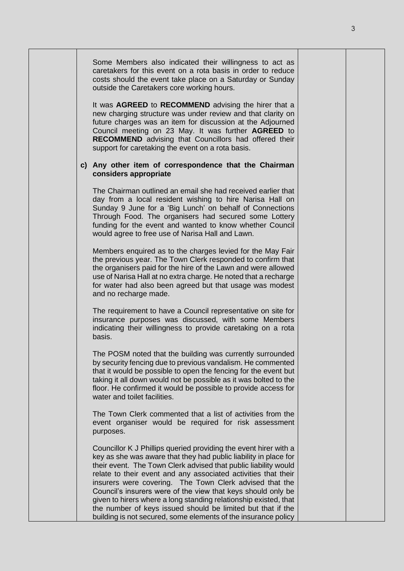| Some Members also indicated their willingness to act as<br>caretakers for this event on a rota basis in order to reduce<br>costs should the event take place on a Saturday or Sunday<br>outside the Caretakers core working hours.                                                                                                                                                                                                                                                                                                                                                                        |
|-----------------------------------------------------------------------------------------------------------------------------------------------------------------------------------------------------------------------------------------------------------------------------------------------------------------------------------------------------------------------------------------------------------------------------------------------------------------------------------------------------------------------------------------------------------------------------------------------------------|
| It was AGREED to RECOMMEND advising the hirer that a<br>new charging structure was under review and that clarity on<br>future charges was an item for discussion at the Adjourned<br>Council meeting on 23 May. It was further AGREED to<br><b>RECOMMEND</b> advising that Councillors had offered their<br>support for caretaking the event on a rota basis.                                                                                                                                                                                                                                             |
| c) Any other item of correspondence that the Chairman<br>considers appropriate                                                                                                                                                                                                                                                                                                                                                                                                                                                                                                                            |
| The Chairman outlined an email she had received earlier that<br>day from a local resident wishing to hire Narisa Hall on<br>Sunday 9 June for a 'Big Lunch' on behalf of Connections<br>Through Food. The organisers had secured some Lottery<br>funding for the event and wanted to know whether Council<br>would agree to free use of Narisa Hall and Lawn.                                                                                                                                                                                                                                             |
| Members enquired as to the charges levied for the May Fair<br>the previous year. The Town Clerk responded to confirm that<br>the organisers paid for the hire of the Lawn and were allowed<br>use of Narisa Hall at no extra charge. He noted that a recharge<br>for water had also been agreed but that usage was modest<br>and no recharge made.                                                                                                                                                                                                                                                        |
| The requirement to have a Council representative on site for<br>insurance purposes was discussed, with some Members<br>indicating their willingness to provide caretaking on a rota<br>basis.                                                                                                                                                                                                                                                                                                                                                                                                             |
| The POSM noted that the building was currently surrounded<br>by security fencing due to previous vandalism. He commented<br>that it would be possible to open the fencing for the event but<br>taking it all down would not be possible as it was bolted to the<br>floor. He confirmed it would be possible to provide access for<br>water and toilet facilities.                                                                                                                                                                                                                                         |
| The Town Clerk commented that a list of activities from the<br>event organiser would be required for risk assessment<br>purposes.                                                                                                                                                                                                                                                                                                                                                                                                                                                                         |
| Councillor K J Phillips queried providing the event hirer with a<br>key as she was aware that they had public liability in place for<br>their event. The Town Clerk advised that public liability would<br>relate to their event and any associated activities that their<br>insurers were covering. The Town Clerk advised that the<br>Council's insurers were of the view that keys should only be<br>given to hirers where a long standing relationship existed, that<br>the number of keys issued should be limited but that if the<br>building is not secured, some elements of the insurance policy |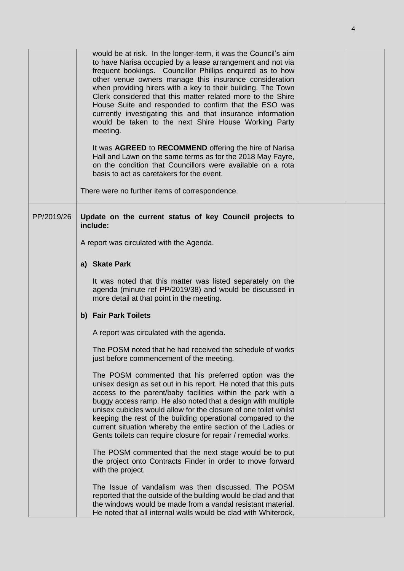|            | meeting.      | would be at risk. In the longer-term, it was the Council's aim<br>to have Narisa occupied by a lease arrangement and not via<br>frequent bookings. Councillor Phillips enquired as to how<br>other venue owners manage this insurance consideration<br>when providing hirers with a key to their building. The Town<br>Clerk considered that this matter related more to the Shire<br>House Suite and responded to confirm that the ESO was<br>currently investigating this and that insurance information<br>would be taken to the next Shire House Working Party<br>It was AGREED to RECOMMEND offering the hire of Narisa<br>Hall and Lawn on the same terms as for the 2018 May Fayre,<br>on the condition that Councillors were available on a rota<br>basis to act as caretakers for the event.<br>There were no further items of correspondence. |  |
|------------|---------------|---------------------------------------------------------------------------------------------------------------------------------------------------------------------------------------------------------------------------------------------------------------------------------------------------------------------------------------------------------------------------------------------------------------------------------------------------------------------------------------------------------------------------------------------------------------------------------------------------------------------------------------------------------------------------------------------------------------------------------------------------------------------------------------------------------------------------------------------------------|--|
| PP/2019/26 | include:      | Update on the current status of key Council projects to                                                                                                                                                                                                                                                                                                                                                                                                                                                                                                                                                                                                                                                                                                                                                                                                 |  |
|            |               | A report was circulated with the Agenda.                                                                                                                                                                                                                                                                                                                                                                                                                                                                                                                                                                                                                                                                                                                                                                                                                |  |
|            | a) Skate Park |                                                                                                                                                                                                                                                                                                                                                                                                                                                                                                                                                                                                                                                                                                                                                                                                                                                         |  |
|            |               | It was noted that this matter was listed separately on the<br>agenda (minute ref PP/2019/38) and would be discussed in<br>more detail at that point in the meeting.                                                                                                                                                                                                                                                                                                                                                                                                                                                                                                                                                                                                                                                                                     |  |
|            |               | b) Fair Park Toilets                                                                                                                                                                                                                                                                                                                                                                                                                                                                                                                                                                                                                                                                                                                                                                                                                                    |  |
|            |               | A report was circulated with the agenda.                                                                                                                                                                                                                                                                                                                                                                                                                                                                                                                                                                                                                                                                                                                                                                                                                |  |
|            |               | The POSM noted that he had received the schedule of works<br>just before commencement of the meeting.                                                                                                                                                                                                                                                                                                                                                                                                                                                                                                                                                                                                                                                                                                                                                   |  |
|            |               | The POSM commented that his preferred option was the<br>unisex design as set out in his report. He noted that this puts<br>access to the parent/baby facilities within the park with a<br>buggy access ramp. He also noted that a design with multiple<br>unisex cubicles would allow for the closure of one toilet whilst<br>keeping the rest of the building operational compared to the<br>current situation whereby the entire section of the Ladies or<br>Gents toilets can require closure for repair / remedial works.                                                                                                                                                                                                                                                                                                                           |  |
|            |               | The POSM commented that the next stage would be to put<br>the project onto Contracts Finder in order to move forward<br>with the project.                                                                                                                                                                                                                                                                                                                                                                                                                                                                                                                                                                                                                                                                                                               |  |
|            |               | The Issue of vandalism was then discussed. The POSM<br>reported that the outside of the building would be clad and that<br>the windows would be made from a vandal resistant material.<br>He noted that all internal walls would be clad with Whiterock,                                                                                                                                                                                                                                                                                                                                                                                                                                                                                                                                                                                                |  |

4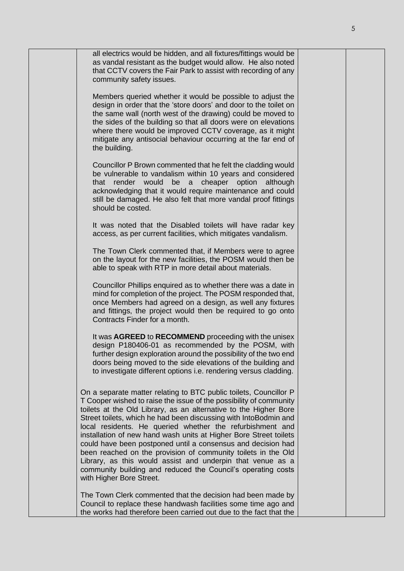|  | all electrics would be hidden, and all fixtures/fittings would be<br>as vandal resistant as the budget would allow. He also noted<br>that CCTV covers the Fair Park to assist with recording of any<br>community safety issues.                                                                                                                                                                                                                                                                                                                                                                                                                                                                              |  |
|--|--------------------------------------------------------------------------------------------------------------------------------------------------------------------------------------------------------------------------------------------------------------------------------------------------------------------------------------------------------------------------------------------------------------------------------------------------------------------------------------------------------------------------------------------------------------------------------------------------------------------------------------------------------------------------------------------------------------|--|
|  | Members queried whether it would be possible to adjust the<br>design in order that the 'store doors' and door to the toilet on<br>the same wall (north west of the drawing) could be moved to<br>the sides of the building so that all doors were on elevations<br>where there would be improved CCTV coverage, as it might<br>mitigate any antisocial behaviour occurring at the far end of<br>the building.                                                                                                                                                                                                                                                                                                |  |
|  | Councillor P Brown commented that he felt the cladding would<br>be vulnerable to vandalism within 10 years and considered<br>render would be a cheaper option although<br>that<br>acknowledging that it would require maintenance and could<br>still be damaged. He also felt that more vandal proof fittings<br>should be costed.                                                                                                                                                                                                                                                                                                                                                                           |  |
|  | It was noted that the Disabled toilets will have radar key<br>access, as per current facilities, which mitigates vandalism.                                                                                                                                                                                                                                                                                                                                                                                                                                                                                                                                                                                  |  |
|  | The Town Clerk commented that, if Members were to agree<br>on the layout for the new facilities, the POSM would then be<br>able to speak with RTP in more detail about materials.                                                                                                                                                                                                                                                                                                                                                                                                                                                                                                                            |  |
|  | Councillor Phillips enquired as to whether there was a date in<br>mind for completion of the project. The POSM responded that,<br>once Members had agreed on a design, as well any fixtures<br>and fittings, the project would then be required to go onto<br>Contracts Finder for a month.                                                                                                                                                                                                                                                                                                                                                                                                                  |  |
|  | It was AGREED to RECOMMEND proceeding with the unisex<br>design P180406-01 as recommended by the POSM, with<br>further design exploration around the possibility of the two end<br>doors being moved to the side elevations of the building and<br>to investigate different options i.e. rendering versus cladding.                                                                                                                                                                                                                                                                                                                                                                                          |  |
|  | On a separate matter relating to BTC public toilets, Councillor P<br>T Cooper wished to raise the issue of the possibility of community<br>toilets at the Old Library, as an alternative to the Higher Bore<br>Street toilets, which he had been discussing with IntoBodmin and<br>local residents. He queried whether the refurbishment and<br>installation of new hand wash units at Higher Bore Street toilets<br>could have been postponed until a consensus and decision had<br>been reached on the provision of community toilets in the Old<br>Library, as this would assist and underpin that venue as a<br>community building and reduced the Council's operating costs<br>with Higher Bore Street. |  |
|  | The Town Clerk commented that the decision had been made by<br>Council to replace these handwash facilities some time ago and<br>the works had therefore been carried out due to the fact that the                                                                                                                                                                                                                                                                                                                                                                                                                                                                                                           |  |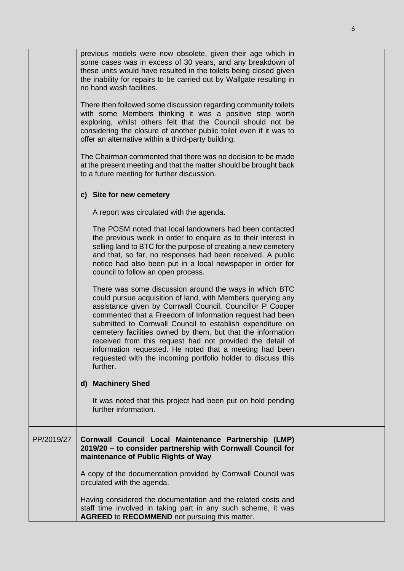|            | previous models were now obsolete, given their age which in<br>some cases was in excess of 30 years, and any breakdown of<br>these units would have resulted in the toilets being closed given<br>the inability for repairs to be carried out by Wallgate resulting in<br>no hand wash facilities.<br>There then followed some discussion regarding community toilets<br>with some Members thinking it was a positive step worth<br>exploring, whilst others felt that the Council should not be<br>considering the closure of another public toilet even if it was to<br>offer an alternative within a third-party building.<br>The Chairman commented that there was no decision to be made |  |
|------------|-----------------------------------------------------------------------------------------------------------------------------------------------------------------------------------------------------------------------------------------------------------------------------------------------------------------------------------------------------------------------------------------------------------------------------------------------------------------------------------------------------------------------------------------------------------------------------------------------------------------------------------------------------------------------------------------------|--|
|            | at the present meeting and that the matter should be brought back<br>to a future meeting for further discussion.                                                                                                                                                                                                                                                                                                                                                                                                                                                                                                                                                                              |  |
|            | c) Site for new cemetery                                                                                                                                                                                                                                                                                                                                                                                                                                                                                                                                                                                                                                                                      |  |
|            | A report was circulated with the agenda.                                                                                                                                                                                                                                                                                                                                                                                                                                                                                                                                                                                                                                                      |  |
|            | The POSM noted that local landowners had been contacted<br>the previous week in order to enquire as to their interest in<br>selling land to BTC for the purpose of creating a new cemetery<br>and that, so far, no responses had been received. A public<br>notice had also been put in a local newspaper in order for<br>council to follow an open process.                                                                                                                                                                                                                                                                                                                                  |  |
|            | There was some discussion around the ways in which BTC<br>could pursue acquisition of land, with Members querying any<br>assistance given by Cornwall Council. Councillor P Cooper<br>commented that a Freedom of Information request had been<br>submitted to Cornwall Council to establish expenditure on<br>cemetery facilities owned by them, but that the information<br>received from this request had not provided the detail of<br>information requested. He noted that a meeting had been<br>requested with the incoming portfolio holder to discuss this<br>further.                                                                                                                |  |
|            | d) Machinery Shed                                                                                                                                                                                                                                                                                                                                                                                                                                                                                                                                                                                                                                                                             |  |
|            | It was noted that this project had been put on hold pending<br>further information.                                                                                                                                                                                                                                                                                                                                                                                                                                                                                                                                                                                                           |  |
| PP/2019/27 | Cornwall Council Local Maintenance Partnership (LMP)<br>2019/20 - to consider partnership with Cornwall Council for<br>maintenance of Public Rights of Way                                                                                                                                                                                                                                                                                                                                                                                                                                                                                                                                    |  |
|            | A copy of the documentation provided by Cornwall Council was<br>circulated with the agenda.                                                                                                                                                                                                                                                                                                                                                                                                                                                                                                                                                                                                   |  |
|            | Having considered the documentation and the related costs and<br>staff time involved in taking part in any such scheme, it was<br>AGREED to RECOMMEND not pursuing this matter.                                                                                                                                                                                                                                                                                                                                                                                                                                                                                                               |  |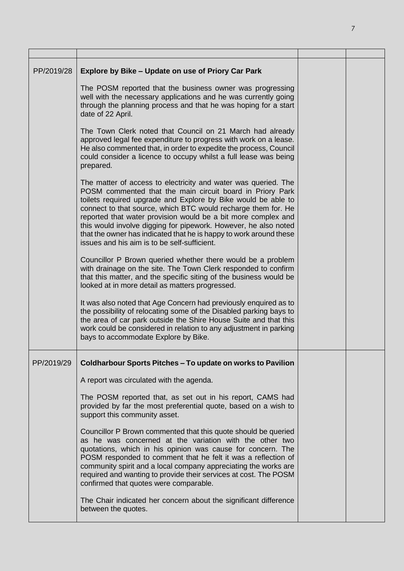| PP/2019/28 | Explore by Bike - Update on use of Priory Car Park<br>The POSM reported that the business owner was progressing<br>well with the necessary applications and he was currently going<br>through the planning process and that he was hoping for a start<br>date of 22 April.                                                                                                                                                                                                                                              |  |
|------------|-------------------------------------------------------------------------------------------------------------------------------------------------------------------------------------------------------------------------------------------------------------------------------------------------------------------------------------------------------------------------------------------------------------------------------------------------------------------------------------------------------------------------|--|
|            | The Town Clerk noted that Council on 21 March had already<br>approved legal fee expenditure to progress with work on a lease.<br>He also commented that, in order to expedite the process, Council<br>could consider a licence to occupy whilst a full lease was being<br>prepared.                                                                                                                                                                                                                                     |  |
|            | The matter of access to electricity and water was queried. The<br>POSM commented that the main circuit board in Priory Park<br>toilets required upgrade and Explore by Bike would be able to<br>connect to that source, which BTC would recharge them for. He<br>reported that water provision would be a bit more complex and<br>this would involve digging for pipework. However, he also noted<br>that the owner has indicated that he is happy to work around these<br>issues and his aim is to be self-sufficient. |  |
|            | Councillor P Brown queried whether there would be a problem<br>with drainage on the site. The Town Clerk responded to confirm<br>that this matter, and the specific siting of the business would be<br>looked at in more detail as matters progressed.                                                                                                                                                                                                                                                                  |  |
|            | It was also noted that Age Concern had previously enquired as to<br>the possibility of relocating some of the Disabled parking bays to<br>the area of car park outside the Shire House Suite and that this<br>work could be considered in relation to any adjustment in parking<br>bays to accommodate Explore by Bike.                                                                                                                                                                                                 |  |
| PP/2019/29 | Coldharbour Sports Pitches - To update on works to Pavilion                                                                                                                                                                                                                                                                                                                                                                                                                                                             |  |
|            | A report was circulated with the agenda.                                                                                                                                                                                                                                                                                                                                                                                                                                                                                |  |
|            | The POSM reported that, as set out in his report, CAMS had<br>provided by far the most preferential quote, based on a wish to<br>support this community asset.                                                                                                                                                                                                                                                                                                                                                          |  |
|            | Councillor P Brown commented that this quote should be queried<br>as he was concerned at the variation with the other two<br>quotations, which in his opinion was cause for concern. The<br>POSM responded to comment that he felt it was a reflection of<br>community spirit and a local company appreciating the works are<br>required and wanting to provide their services at cost. The POSM<br>confirmed that quotes were comparable.                                                                              |  |
|            | The Chair indicated her concern about the significant difference<br>between the quotes.                                                                                                                                                                                                                                                                                                                                                                                                                                 |  |

7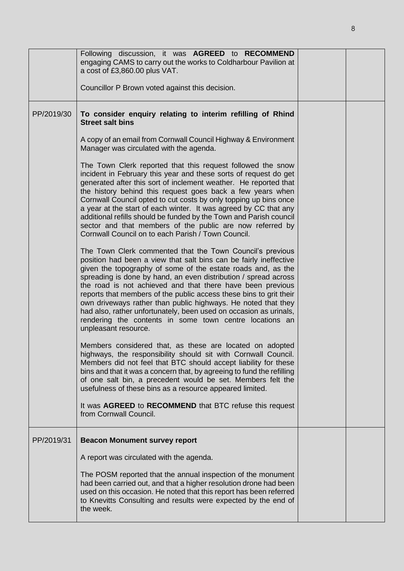|            | Following discussion, it was AGREED to RECOMMEND<br>engaging CAMS to carry out the works to Coldharbour Pavilion at<br>a cost of £3,860.00 plus VAT.<br>Councillor P Brown voted against this decision.                                                                                                                                                                                                                                                                                                                                                                                                                        |  |
|------------|--------------------------------------------------------------------------------------------------------------------------------------------------------------------------------------------------------------------------------------------------------------------------------------------------------------------------------------------------------------------------------------------------------------------------------------------------------------------------------------------------------------------------------------------------------------------------------------------------------------------------------|--|
| PP/2019/30 | To consider enquiry relating to interim refilling of Rhind<br><b>Street salt bins</b>                                                                                                                                                                                                                                                                                                                                                                                                                                                                                                                                          |  |
|            | A copy of an email from Cornwall Council Highway & Environment<br>Manager was circulated with the agenda.                                                                                                                                                                                                                                                                                                                                                                                                                                                                                                                      |  |
|            | The Town Clerk reported that this request followed the snow<br>incident in February this year and these sorts of request do get<br>generated after this sort of inclement weather. He reported that<br>the history behind this request goes back a few years when<br>Cornwall Council opted to cut costs by only topping up bins once<br>a year at the start of each winter. It was agreed by CC that any<br>additional refills should be funded by the Town and Parish council<br>sector and that members of the public are now referred by<br>Cornwall Council on to each Parish / Town Council.                             |  |
|            | The Town Clerk commented that the Town Council's previous<br>position had been a view that salt bins can be fairly ineffective<br>given the topography of some of the estate roads and, as the<br>spreading is done by hand, an even distribution / spread across<br>the road is not achieved and that there have been previous<br>reports that members of the public access these bins to grit their<br>own driveways rather than public highways. He noted that they<br>had also, rather unfortunately, been used on occasion as urinals,<br>rendering the contents in some town centre locations an<br>unpleasant resource. |  |
|            | Members considered that, as these are located on adopted<br>highways, the responsibility should sit with Cornwall Council.<br>Members did not feel that BTC should accept liability for these<br>bins and that it was a concern that, by agreeing to fund the refilling<br>of one salt bin, a precedent would be set. Members felt the<br>usefulness of these bins as a resource appeared limited.                                                                                                                                                                                                                             |  |
|            | It was AGREED to RECOMMEND that BTC refuse this request<br>from Cornwall Council.                                                                                                                                                                                                                                                                                                                                                                                                                                                                                                                                              |  |
| PP/2019/31 | <b>Beacon Monument survey report</b>                                                                                                                                                                                                                                                                                                                                                                                                                                                                                                                                                                                           |  |
|            | A report was circulated with the agenda.                                                                                                                                                                                                                                                                                                                                                                                                                                                                                                                                                                                       |  |
|            | The POSM reported that the annual inspection of the monument<br>had been carried out, and that a higher resolution drone had been<br>used on this occasion. He noted that this report has been referred<br>to Knevitts Consulting and results were expected by the end of<br>the week.                                                                                                                                                                                                                                                                                                                                         |  |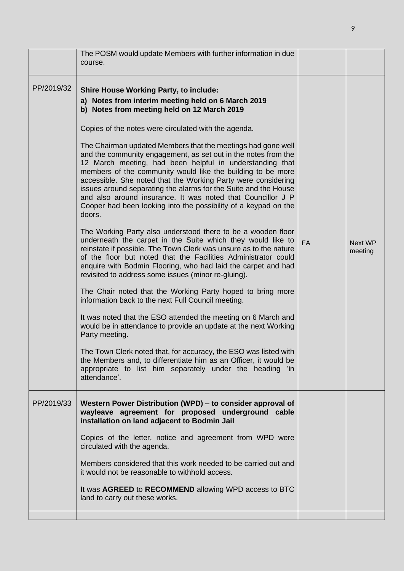|            | The POSM would update Members with further information in due<br>course.                                                                                                                                                                                                                                                                                                                                                                                                                                                                                                                                                                                                                                                                                                                                                                                                                                                                                                                                                                                                                                                                                                                                                                                                                                                                                                                                                                                                                                                                                                                                                                            |           |                    |
|------------|-----------------------------------------------------------------------------------------------------------------------------------------------------------------------------------------------------------------------------------------------------------------------------------------------------------------------------------------------------------------------------------------------------------------------------------------------------------------------------------------------------------------------------------------------------------------------------------------------------------------------------------------------------------------------------------------------------------------------------------------------------------------------------------------------------------------------------------------------------------------------------------------------------------------------------------------------------------------------------------------------------------------------------------------------------------------------------------------------------------------------------------------------------------------------------------------------------------------------------------------------------------------------------------------------------------------------------------------------------------------------------------------------------------------------------------------------------------------------------------------------------------------------------------------------------------------------------------------------------------------------------------------------------|-----------|--------------------|
| PP/2019/32 | <b>Shire House Working Party, to include:</b><br>a) Notes from interim meeting held on 6 March 2019<br>b) Notes from meeting held on 12 March 2019<br>Copies of the notes were circulated with the agenda.<br>The Chairman updated Members that the meetings had gone well<br>and the community engagement, as set out in the notes from the<br>12 March meeting, had been helpful in understanding that<br>members of the community would like the building to be more<br>accessible. She noted that the Working Party were considering<br>issues around separating the alarms for the Suite and the House<br>and also around insurance. It was noted that Councillor J P<br>Cooper had been looking into the possibility of a keypad on the<br>doors.<br>The Working Party also understood there to be a wooden floor<br>underneath the carpet in the Suite which they would like to<br>reinstate if possible. The Town Clerk was unsure as to the nature<br>of the floor but noted that the Facilities Administrator could<br>enquire with Bodmin Flooring, who had laid the carpet and had<br>revisited to address some issues (minor re-gluing).<br>The Chair noted that the Working Party hoped to bring more<br>information back to the next Full Council meeting.<br>It was noted that the ESO attended the meeting on 6 March and<br>would be in attendance to provide an update at the next Working<br>Party meeting.<br>The Town Clerk noted that, for accuracy, the ESO was listed with<br>the Members and, to differentiate him as an Officer, it would be<br>appropriate to list him separately under the heading 'in<br>attendance'. | <b>FA</b> | Next WP<br>meeting |
| PP/2019/33 | Western Power Distribution (WPD) – to consider approval of<br>wayleave agreement for proposed underground cable<br>installation on land adjacent to Bodmin Jail<br>Copies of the letter, notice and agreement from WPD were<br>circulated with the agenda.<br>Members considered that this work needed to be carried out and<br>it would not be reasonable to withhold access.<br>It was AGREED to RECOMMEND allowing WPD access to BTC<br>land to carry out these works.                                                                                                                                                                                                                                                                                                                                                                                                                                                                                                                                                                                                                                                                                                                                                                                                                                                                                                                                                                                                                                                                                                                                                                           |           |                    |
|            |                                                                                                                                                                                                                                                                                                                                                                                                                                                                                                                                                                                                                                                                                                                                                                                                                                                                                                                                                                                                                                                                                                                                                                                                                                                                                                                                                                                                                                                                                                                                                                                                                                                     |           |                    |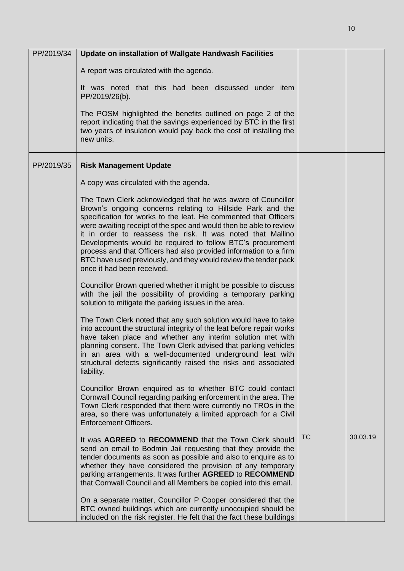| PP/2019/34 | Update on installation of Wallgate Handwash Facilities                                                                                                                                                                                                                                                                                                                                                                                                                                                                                                                |           |          |
|------------|-----------------------------------------------------------------------------------------------------------------------------------------------------------------------------------------------------------------------------------------------------------------------------------------------------------------------------------------------------------------------------------------------------------------------------------------------------------------------------------------------------------------------------------------------------------------------|-----------|----------|
|            | A report was circulated with the agenda.                                                                                                                                                                                                                                                                                                                                                                                                                                                                                                                              |           |          |
|            | It was noted that this had been discussed under item<br>PP/2019/26(b).                                                                                                                                                                                                                                                                                                                                                                                                                                                                                                |           |          |
|            | The POSM highlighted the benefits outlined on page 2 of the<br>report indicating that the savings experienced by BTC in the first<br>two years of insulation would pay back the cost of installing the<br>new units.                                                                                                                                                                                                                                                                                                                                                  |           |          |
| PP/2019/35 | <b>Risk Management Update</b>                                                                                                                                                                                                                                                                                                                                                                                                                                                                                                                                         |           |          |
|            | A copy was circulated with the agenda.                                                                                                                                                                                                                                                                                                                                                                                                                                                                                                                                |           |          |
|            | The Town Clerk acknowledged that he was aware of Councillor<br>Brown's ongoing concerns relating to Hillside Park and the<br>specification for works to the leat. He commented that Officers<br>were awaiting receipt of the spec and would then be able to review<br>it in order to reassess the risk. It was noted that Mallino<br>Developments would be required to follow BTC's procurement<br>process and that Officers had also provided information to a firm<br>BTC have used previously, and they would review the tender pack<br>once it had been received. |           |          |
|            | Councillor Brown queried whether it might be possible to discuss<br>with the jail the possibility of providing a temporary parking<br>solution to mitigate the parking issues in the area.                                                                                                                                                                                                                                                                                                                                                                            |           |          |
|            | The Town Clerk noted that any such solution would have to take<br>into account the structural integrity of the leat before repair works<br>have taken place and whether any interim solution met with<br>planning consent. The Town Clerk advised that parking vehicles<br>in an area with a well-documented underground leat with<br>structural defects significantly raised the risks and associated<br>liability.                                                                                                                                                  |           |          |
|            | Councillor Brown enquired as to whether BTC could contact<br>Cornwall Council regarding parking enforcement in the area. The<br>Town Clerk responded that there were currently no TROs in the<br>area, so there was unfortunately a limited approach for a Civil<br><b>Enforcement Officers.</b>                                                                                                                                                                                                                                                                      |           |          |
|            | It was AGREED to RECOMMEND that the Town Clerk should<br>send an email to Bodmin Jail requesting that they provide the<br>tender documents as soon as possible and also to enquire as to<br>whether they have considered the provision of any temporary<br>parking arrangements. It was further AGREED to RECOMMEND<br>that Cornwall Council and all Members be copied into this email.                                                                                                                                                                               | <b>TC</b> | 30.03.19 |
|            | On a separate matter, Councillor P Cooper considered that the<br>BTC owned buildings which are currently unoccupied should be<br>included on the risk register. He felt that the fact these buildings                                                                                                                                                                                                                                                                                                                                                                 |           |          |